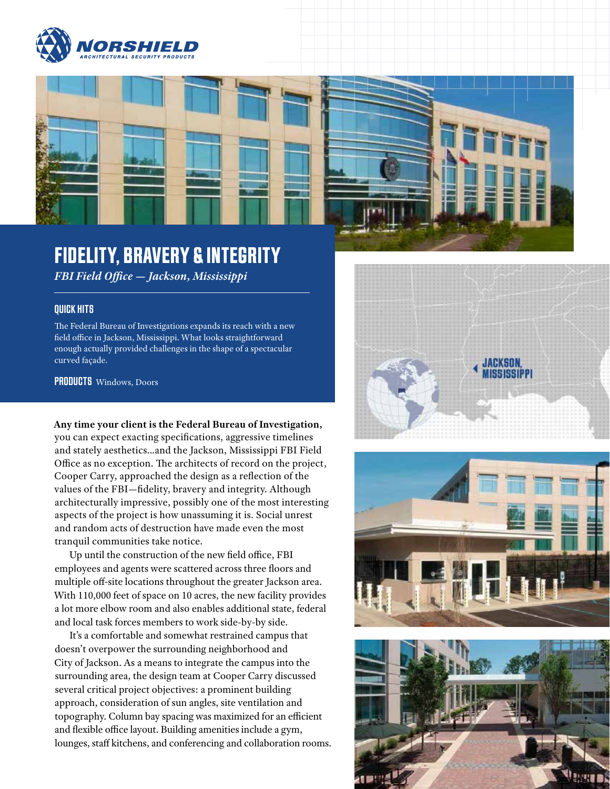



## FIDELITY, BRAVERY & INTEGRITY

*FBI Field Office — Jackson, Mississippi*

## QUICK HITS

The Federal Bureau of Investigations expands its reach with a new field office in Jackson, Mississippi. What looks straightforward enough actually provided challenges in the shape of a spectacular curved façade.

PRODUCTS Windows, Doors

**Any time your client is the Federal Bureau of Investigation,** you can expect exacting specifications, aggressive timelines and stately aesthetics…and the Jackson, Mississippi FBI Field Office as no exception. The architects of record on the project, Cooper Carry, approached the design as a reflection of the values of the FBI—fidelity, bravery and integrity. Although architecturally impressive, possibly one of the most interesting aspects of the project is how unassuming it is. Social unrest and random acts of destruction have made even the most tranquil communities take notice.

Up until the construction of the new field office, FBI employees and agents were scattered across three floors and multiple off-site locations throughout the greater Jackson area. With 110,000 feet of space on 10 acres, the new facility provides a lot more elbow room and also enables additional state, federal and local task forces members to work side-by-by side.

It's a comfortable and somewhat restrained campus that doesn't overpower the surrounding neighborhood and City of Jackson. As a means to integrate the campus into the surrounding area, the design team at Cooper Carry discussed several critical project objectives: a prominent building approach, consideration of sun angles, site ventilation and topography. Column bay spacing was maximized for an efficient and flexible office layout. Building amenities include a gym, lounges, staff kitchens, and conferencing and collaboration rooms.